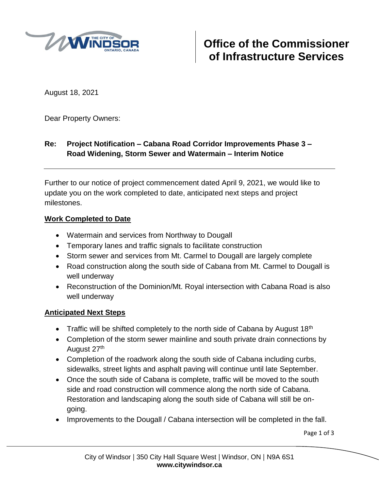

August 18, 2021

Dear Property Owners:

## **Re: Project Notification – Cabana Road Corridor Improvements Phase 3 – Road Widening, Storm Sewer and Watermain – Interim Notice**

Further to our notice of project commencement dated April 9, 2021, we would like to update you on the work completed to date, anticipated next steps and project milestones.

## **Work Completed to Date**

- Watermain and services from Northway to Dougall
- Temporary lanes and traffic signals to facilitate construction
- Storm sewer and services from Mt. Carmel to Dougall are largely complete
- Road construction along the south side of Cabana from Mt. Carmel to Dougall is well underway
- Reconstruction of the Dominion/Mt. Royal intersection with Cabana Road is also well underway

## **Anticipated Next Steps**

- Traffic will be shifted completely to the north side of Cabana by August 18<sup>th</sup>
- Completion of the storm sewer mainline and south private drain connections by August 27<sup>th</sup>
- Completion of the roadwork along the south side of Cabana including curbs, sidewalks, street lights and asphalt paving will continue until late September.
- Once the south side of Cabana is complete, traffic will be moved to the south side and road construction will commence along the north side of Cabana. Restoration and landscaping along the south side of Cabana will still be ongoing.
- Improvements to the Dougall / Cabana intersection will be completed in the fall.

Page 1 of 3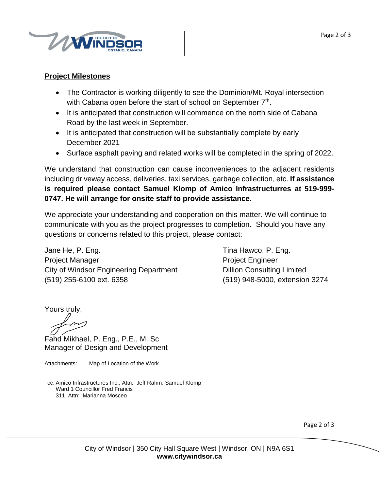

## **Project Milestones**

- The Contractor is working diligently to see the Dominion/Mt. Royal intersection with Cabana open before the start of school on September 7<sup>th</sup>.
- It is anticipated that construction will commence on the north side of Cabana Road by the last week in September.
- It is anticipated that construction will be substantially complete by early December 2021
- Surface asphalt paving and related works will be completed in the spring of 2022.

We understand that construction can cause inconveniences to the adjacent residents including driveway access, deliveries, taxi services, garbage collection, etc. **If assistance is required please contact Samuel Klomp of Amico Infrastructurres at 519-999- 0747. He will arrange for onsite staff to provide assistance.**

We appreciate your understanding and cooperation on this matter. We will continue to communicate with you as the project progresses to completion. Should you have any questions or concerns related to this project, please contact:

Jane He, P. Eng. Tina Hawco, P. Eng. Project Manager **Project Engineer** City of Windsor Engineering Department Dillion Consulting Limited (519) 255-6100 ext. 6358 (519) 948-5000, extension 3274

Yours truly,

Fahd Mikhael, P. Eng., P.E., M. Sc Manager of Design and Development

Attachments: Map of Location of the Work

cc: Amico Infrastructures Inc., Attn: Jeff Rahm, Samuel Klomp Ward 1 Councillor Fred Francis 311, Attn: Marianna Mosceo